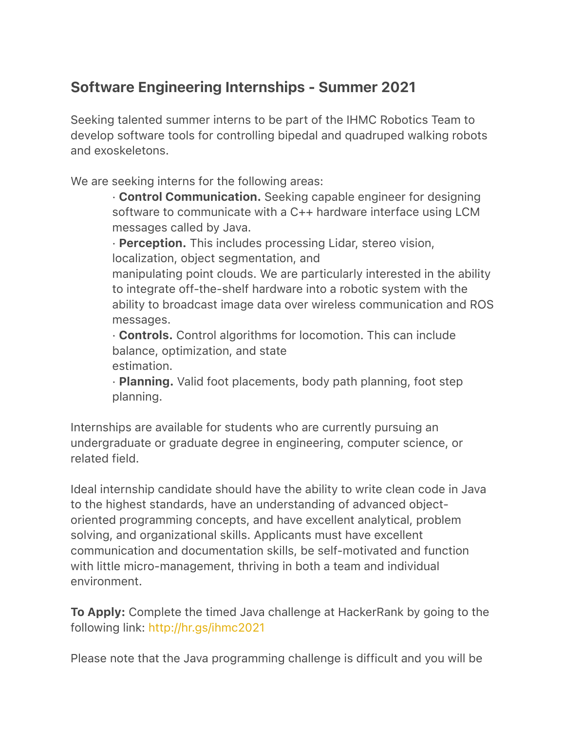## Software Engineering Internships - Summer 2021

Seeking talented summer interns to be part of the IHMC Robotics Team to develop software tools for controlling bipedal and quadruped walking robots and exoskeletons.

We are seeking interns for the following areas:

· Control Communication. Seeking capable engineer for designing software to communicate with a C++ hardware interface using LCM messages called by Java.

· Perception. This includes processing Lidar, stereo vision, localization, object segmentation, and

manipulating point clouds. We are particularly interested in the ability to integrate off-the-shelf hardware into a robotic system with the ability to broadcast image data over wireless communication and ROS messages.

· Controls. Control algorithms for locomotion. This can include balance, optimization, and state estimation.

· Planning. Valid foot placements, body path planning, foot step planning.

Internships are available for students who are currently pursuing an undergraduate or graduate degree in engineering, computer science, or related field.

Ideal internship candidate should have the ability to write clean code in Java to the highest standards, have an understanding of advanced objectoriented programming concepts, and have excellent analytical, problem solving, and organizational skills. Applicants must have excellent communication and documentation skills, be self-motivated and function with little micro-management, thriving in both a team and individual environment.

To Apply: Complete the timed Java challenge at HackerRank by going to the following link: <http://hr.gs/ihmc2021>

Please note that the Java programming challenge is difficult and you will be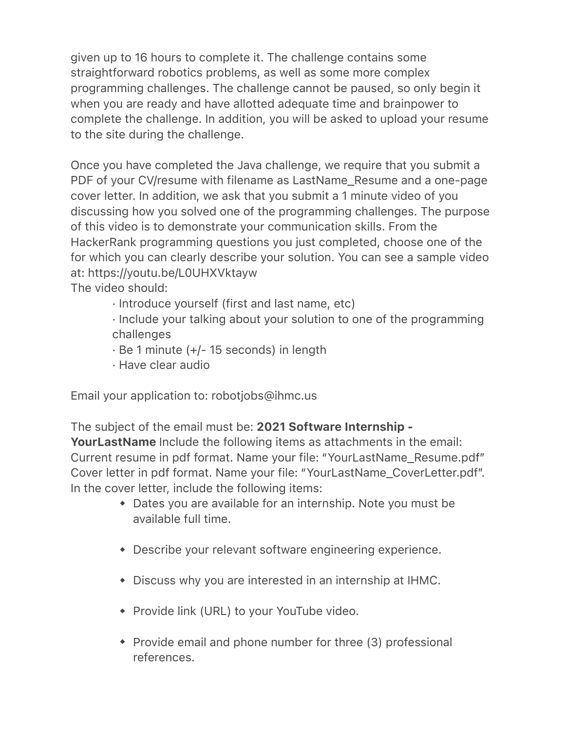given up to 16 hours to complete it. The challenge contains some straightforward robotics problems, as well as some more complex programming challenges. The challenge cannot be paused, so only begin it when you are ready and have allotted adequate time and brainpower to complete the challenge. In addition, you will be asked to upload your resume to the site during the challenge.

Once you have completed the Java challenge, we require that you submit a PDF of your CV/resume with filename as LastName\_Resume and a one-page cover letter. In addition, we ask that you submit a 1 minute video of you discussing how you solved one of the programming challenges. The purpose of this video is to demonstrate your communication skills. From the HackerRank programming questions you just completed, choose one of the for which you can clearly describe your solution. You can see a sample video at: https://youtu.be/L0UHXVktayw

The video should:

· Introduce yourself (first and last name, etc)

· Include your talking about your solution to one of the programming challenges

- · Be 1 minute (+/- 15 seconds) in length
- · Have clear audio

Email your application to: robotjobs@ihmc.us

The subject of the email must be: 2021 Software Internship - YourLastName Include the following items as attachments in the email: Current resume in pdf format. Name your file: "YourLastName\_Resume.pdf"

Cover letter in pdf format. Name your file: "YourLastName\_CoverLetter.pdf". In the cover letter, include the following items:

- ◆ Dates you are available for an internship. Note you must be available full time.
- ◆ Describe your relevant software engineering experience.
- ◆ Discuss why you are interested in an internship at IHMC.
- ◆ Provide link (URL) to your YouTube video.
- ◆ Provide email and phone number for three (3) professional references.